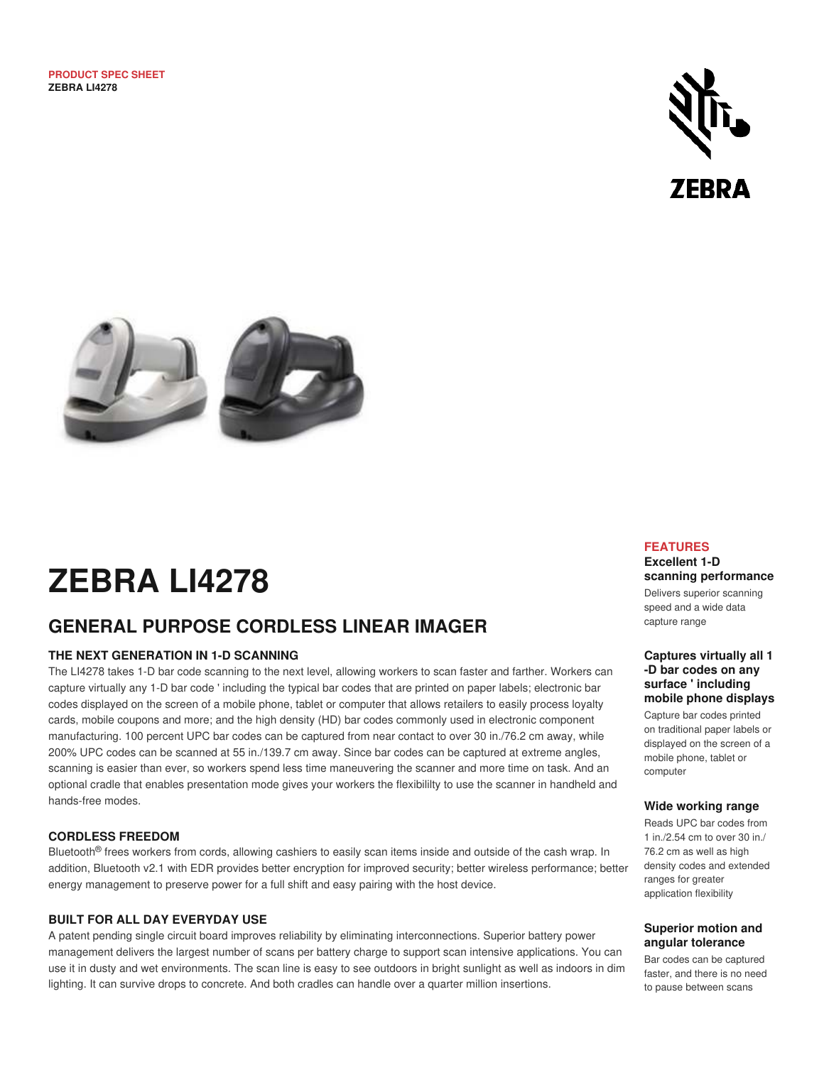



# **ZEBRA LI4278**

## **GENERAL PURPOSE CORDLESS LINEAR IMAGER**

#### **THE NEXT GENERATION IN 1-D SCANNING**

The LI4278 takes 1-D bar code scanning to the next level, allowing workers to scan faster and farther. Workers can capture virtually any 1-D bar code ' including the typical bar codes that are printed on paper labels; electronic bar codes displayed on the screen of a mobile phone, tablet or computer that allows retailers to easily process loyalty cards, mobile coupons and more; and the high density (HD) bar codes commonly used in electronic component manufacturing. 100 percent UPC bar codes can be captured from near contact to over 30 in./76.2 cm away, while 200% UPC codes can be scanned at 55 in./139.7 cm away. Since bar codes can be captured at extreme angles, scanning is easier than ever, so workers spend less time maneuvering the scanner and more time on task. And an optional cradle that enables presentation mode gives your workers the flexibililty to use the scanner in handheld and hands-free modes.

#### **CORDLESS FREEDOM**

Bluetooth® frees workers from cords, allowing cashiers to easily scan items inside and outside of the cash wrap. In addition, Bluetooth v2.1 with EDR provides better encryption for improved security; better wireless performance; better energy management to preserve power for a full shift and easy pairing with the host device.

#### **BUILT FOR ALL DAY EVERYDAY USE**

A patent pending single circuit board improves reliability by eliminating interconnections. Superior battery power management delivers the largest number of scans per battery charge to support scan intensive applications. You can use it in dusty and wet environments. The scan line is easy to see outdoors in bright sunlight as well as indoors in dim lighting. It can survive drops to concrete. And both cradles can handle over a quarter million insertions.

#### **FEATURES**

#### **Excellent 1-D scanning performance**

Delivers superior scanning speed and a wide data capture range

#### **Captures virtually all 1 -D bar codes on any surface ' including mobile phone displays**

Capture bar codes printed on traditional paper labels or displayed on the screen of a mobile phone, tablet or computer

#### **Wide working range**

Reads UPC bar codes from 1 in./2.54 cm to over 30 in./ 76.2 cm as well as high density codes and extended ranges for greater application flexibility

#### **Superior motion and angular tolerance**

Bar codes can be captured faster, and there is no need to pause between scans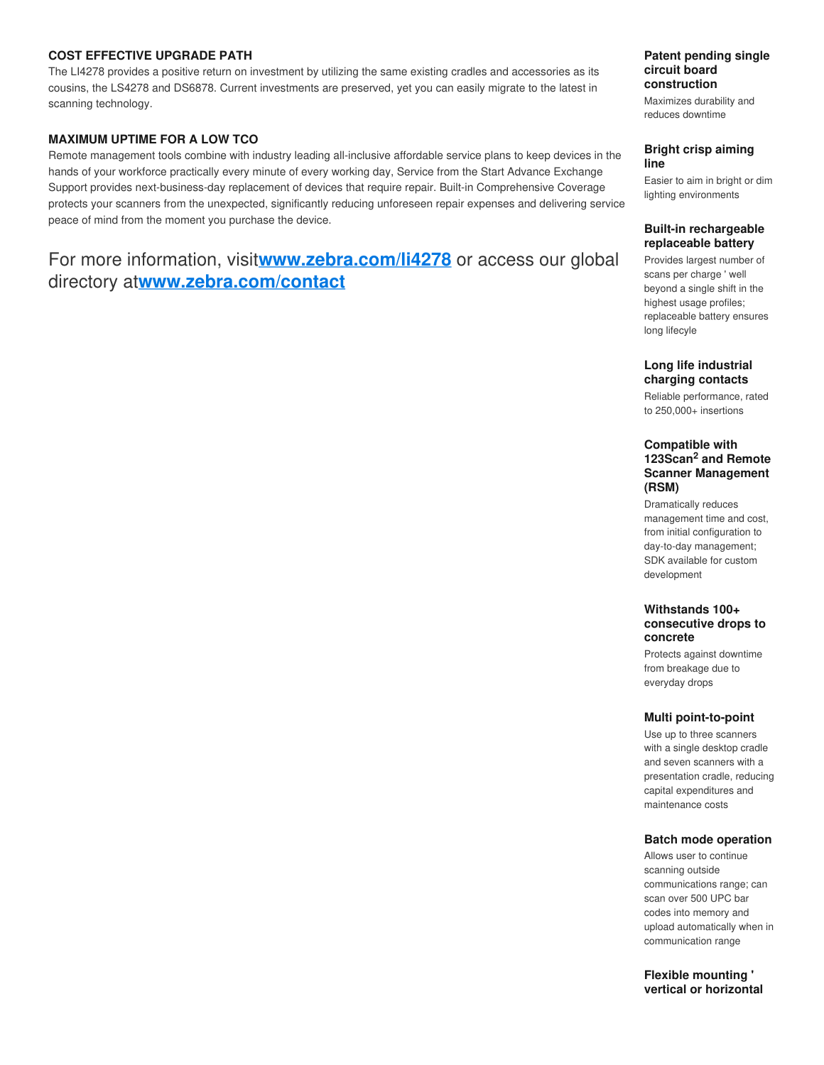#### **COST EFFECTIVE UPGRADE PATH**

The LI4278 provides a positive return on investment by utilizing the same existing cradles and accessories as its cousins, the LS4278 and DS6878. Current investments are preserved, yet you can easily migrate to the latest in scanning technology.

#### **MAXIMUM UPTIME FOR A LOW TCO**

Remote management tools combine with industry leading all-inclusive affordable service plans to keep devices in the hands of your workforce practically every minute of every working day, Service from the Start Advance Exchange Support provides next-business-day replacement of devices that require repair. Built-in Comprehensive Coverage protects your scanners from the unexpected, significantly reducing unforeseen repair expenses and delivering service peace of mind from the moment you purchase the device.

## For more information, visit**www.zebra.com/li4278** or access our global directory at**[www.zebra.com/contact](http://www.zebra.com/contact)**

#### **Patent pending single circuit board construction**

Maximizes durability and reduces downtime

#### **Bright crisp aiming line**

Easier to aim in bright or dim lighting environments

#### **Built-in rechargeable replaceable battery**

Provides largest number of scans per charge ' well beyond a single shift in the highest usage profiles; replaceable battery ensures long lifecyle

#### **Long life industrial charging contacts**

Reliable performance, rated to 250,000+ insertions

#### **Compatible with**  123Scan<sup>2</sup> and Remote **Scanner Management (RSM)**

Dramatically reduces management time and cost, from initial configuration to day-to-day management; SDK available for custom development

#### **Withstands 100+ consecutive drops to concrete**

Protects against downtime from breakage due to everyday drops

#### **Multi point-to-point**

Use up to three scanners with a single desktop cradle and seven scanners with a presentation cradle, reducing capital expenditures and maintenance costs

#### **Batch mode operation**

Allows user to continue scanning outside communications range; can scan over 500 UPC bar codes into memory and upload automatically when in communication range

**Flexible mounting ' vertical or horizontal**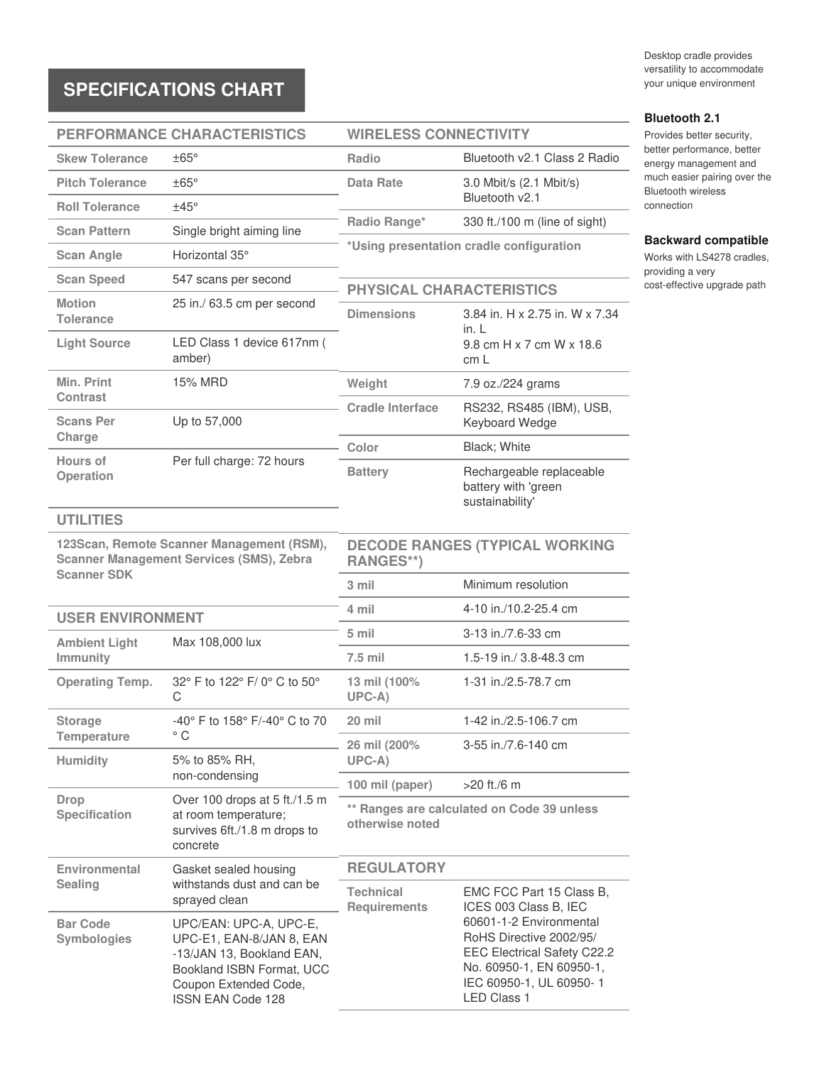# **SPECIFICATIONS CHART**

Desktop cradle provides versatility to accommodate your unique environment

**Backward compatible** Works with LS4278 cradles,

cost-effective upgrade path

**Bluetooth 2.1** Provides better security, better performance, better energy management and much easier pairing over the Bluetooth wireless connection

providing a very

### **PERFORMANCE CHARACTERISTICS**

# **WIRELESS CONNECTIVITY**

| <b>Skew Tolerance</b>                                                                                              | $\pm 65^\circ$                                                                                                                                             | Radio                                                                                             | Bluetooth v2.1 Class 2 Radio                                                                                                                                                                                               |
|--------------------------------------------------------------------------------------------------------------------|------------------------------------------------------------------------------------------------------------------------------------------------------------|---------------------------------------------------------------------------------------------------|----------------------------------------------------------------------------------------------------------------------------------------------------------------------------------------------------------------------------|
| <b>Pitch Tolerance</b>                                                                                             | $\pm 65^\circ$                                                                                                                                             | Data Rate                                                                                         | 3.0 Mbit/s (2.1 Mbit/s)                                                                                                                                                                                                    |
| <b>Roll Tolerance</b>                                                                                              | ±45°                                                                                                                                                       |                                                                                                   | Bluetooth v2.1                                                                                                                                                                                                             |
| <b>Scan Pattern</b>                                                                                                | Single bright aiming line                                                                                                                                  | Radio Range*                                                                                      | 330 ft./100 m (line of sight)                                                                                                                                                                                              |
| <b>Scan Angle</b>                                                                                                  | Horizontal 35°                                                                                                                                             |                                                                                                   | *Using presentation cradle configuration                                                                                                                                                                                   |
| <b>Scan Speed</b>                                                                                                  | 547 scans per second                                                                                                                                       |                                                                                                   |                                                                                                                                                                                                                            |
| <b>Motion</b><br>Tolerance                                                                                         | 25 in./ 63.5 cm per second                                                                                                                                 | <b>PHYSICAL CHARACTERISTICS</b><br>3.84 in. H x 2.75 in. W x 7.34<br><b>Dimensions</b><br>in. $L$ |                                                                                                                                                                                                                            |
| <b>Light Source</b>                                                                                                | LED Class 1 device 617nm (<br>amber)                                                                                                                       |                                                                                                   | 9.8 cm H x 7 cm W x 18.6<br>cm <sub>L</sub>                                                                                                                                                                                |
| Min. Print<br><b>Contrast</b>                                                                                      | 15% MRD                                                                                                                                                    | Weight                                                                                            | 7.9 oz./224 grams                                                                                                                                                                                                          |
| <b>Scans Per</b>                                                                                                   | Up to 57,000                                                                                                                                               | <b>Cradle Interface</b>                                                                           | RS232, RS485 (IBM), USB,<br>Keyboard Wedge                                                                                                                                                                                 |
| Charge                                                                                                             |                                                                                                                                                            | Color                                                                                             | Black; White                                                                                                                                                                                                               |
| Hours of<br>Operation                                                                                              | Per full charge: 72 hours                                                                                                                                  | <b>Battery</b>                                                                                    | Rechargeable replaceable<br>battery with 'green<br>sustainability'                                                                                                                                                         |
| <b>UTILITIES</b>                                                                                                   |                                                                                                                                                            |                                                                                                   |                                                                                                                                                                                                                            |
| 123Scan, Remote Scanner Management (RSM),<br><b>Scanner Management Services (SMS), Zebra</b><br><b>Scanner SDK</b> |                                                                                                                                                            | <b>DECODE RANGES (TYPICAL WORKING</b><br><b>RANGES**)</b>                                         |                                                                                                                                                                                                                            |
|                                                                                                                    |                                                                                                                                                            | 3 mil                                                                                             | Minimum resolution                                                                                                                                                                                                         |
| <b>USER ENVIRONMENT</b>                                                                                            |                                                                                                                                                            | 4 mil                                                                                             | 4-10 in./10.2-25.4 cm                                                                                                                                                                                                      |
| <b>Ambient Light</b>                                                                                               | Max 108,000 lux                                                                                                                                            | 5 mil                                                                                             | 3-13 in./7.6-33 cm                                                                                                                                                                                                         |
| Immunity                                                                                                           |                                                                                                                                                            | 7.5 mil                                                                                           | 1.5-19 in./ 3.8-48.3 cm                                                                                                                                                                                                    |
| <b>Operating Temp.</b>                                                                                             | 32° F to 122° F/ 0° C to 50°<br>C                                                                                                                          | 13 mil (100%<br>$UPC-A)$                                                                          | 1-31 in./2.5-78.7 cm                                                                                                                                                                                                       |
| <b>Storage</b>                                                                                                     | -40° F to 158° F/-40° C to 70                                                                                                                              | 20 mil                                                                                            | 1-42 in./2.5-106.7 cm                                                                                                                                                                                                      |
| <b>Temperature</b><br><b>Humidity</b>                                                                              | $^{\circ}$ C<br>5% to 85% RH,                                                                                                                              | 26 mil (200%<br>$UPC-A)$                                                                          | 3-55 in./7.6-140 cm                                                                                                                                                                                                        |
|                                                                                                                    | non-condensing                                                                                                                                             | 100 mil (paper)                                                                                   | $>20$ ft./6 m                                                                                                                                                                                                              |
| <b>Drop</b><br>Specification                                                                                       | Over 100 drops at 5 ft./1.5 m<br>at room temperature;<br>survives 6ft./1.8 m drops to<br>concrete                                                          | ** Ranges are calculated on Code 39 unless<br>otherwise noted                                     |                                                                                                                                                                                                                            |
| Environmental                                                                                                      | Gasket sealed housing<br>withstands dust and can be<br>sprayed clean                                                                                       | <b>REGULATORY</b>                                                                                 |                                                                                                                                                                                                                            |
| <b>Sealing</b>                                                                                                     |                                                                                                                                                            | <b>Technical</b><br><b>Requirements</b>                                                           | EMC FCC Part 15 Class B,<br>ICES 003 Class B, IEC<br>60601-1-2 Environmental<br>RoHS Directive 2002/95/<br><b>EEC Electrical Safety C22.2</b><br>No. 60950-1, EN 60950-1,<br>IEC 60950-1, UL 60950-1<br><b>LED Class 1</b> |
| <b>Bar Code</b><br>Symbologies                                                                                     | UPC/EAN: UPC-A, UPC-E,<br>UPC-E1, EAN-8/JAN 8, EAN<br>-13/JAN 13, Bookland EAN,<br>Bookland ISBN Format, UCC<br>Coupon Extended Code,<br>ISSN EAN Code 128 |                                                                                                   |                                                                                                                                                                                                                            |